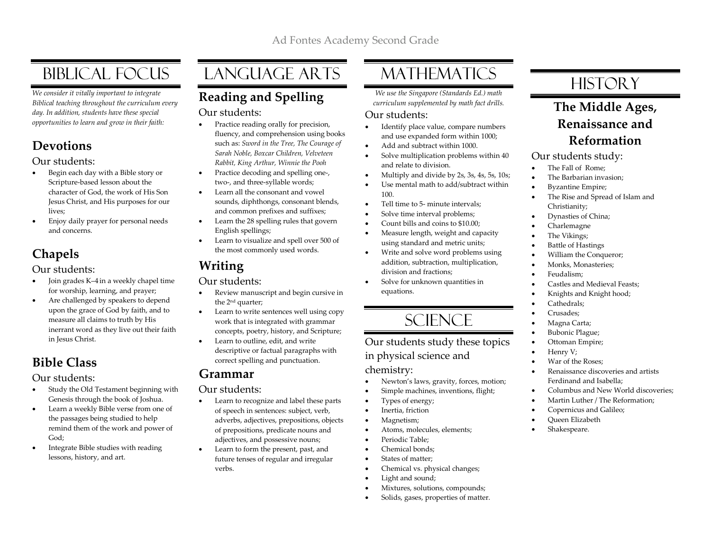## Biblical Focus

*We consider it vitally important to integrate Biblical teaching throughout the curriculum every day. In addition, students have these special opportunities to learn and grow in their faith:*

## **Devotions**

#### Our students:

- Begin each day with a Bible story or Scripture-based lesson about the character of God, the work of His Son Jesus Christ, and His purposes for our lives;
- Enjoy daily prayer for personal needs and concerns.

## **Chapels**

#### Our students:

- Join grades K-4 in a weekly chapel time for worship, learning, and prayer;
- Are challenged by speakers to depend upon the grace of God by faith, and to measure all claims to truth by His inerrant word as they live out their faith in Jesus Christ.

## **Bible Class**

#### Our students:

- Study the Old Testament beginning with Genesis through the book of Joshua.
- Learn a weekly Bible verse from one of the passages being studied to help remind them of the work and power of God;
- Integrate Bible studies with reading lessons, history, and art.

# Language Arts

# **Reading and Spelling**

Our students:

- Practice reading orally for precision, fluency, and comprehension using books such as: *Sword in the Tree, The Courage of Sarah Noble, Boxcar Children, Velveteen Rabbit, King Arthur, Winnie the Pooh*
- Practice decoding and spelling one-, two-, and three-syllable words;
- Learn all the consonant and vowel sounds, diphthongs, consonant blends, and common prefixes and suffixes;
- Learn the 28 spelling rules that govern English spellings;
- Learn to visualize and spell over 500 of the most commonly used words.

## **Writing**

#### Our students:

- Review manuscript and begin cursive in the 2nd quarter;
- Learn to write sentences well using copy work that is integrated with grammar concepts, poetry, history, and Scripture;
- Learn to outline, edit, and write descriptive or factual paragraphs with correct spelling and punctuation.

#### **Grammar**

Our students:

- Learn to recognize and label these parts of speech in sentences: subject, verb, adverbs, adjectives, prepositions, objects of prepositions, predicate nouns and adjectives, and possessive nouns;
- Learn to form the present, past, and future tenses of regular and irregular verbs.

## **MATHEMATICS**

*We use the Singapore (Standards Ed.) math curriculum supplemented by math fact drills.* 

#### Our students:

- Identify place value, compare numbers and use expanded form within 1000;
- Add and subtract within 1000.
- Solve multiplication problems within 40 and relate to division.
- Multiply and divide by 2s, 3s, 4s, 5s, 10s;
- Use mental math to add/subtract within 100.
- Tell time to 5- minute intervals;
- Solve time interval problems;
- Count bills and coins to \$10.00;
- Measure length, weight and capacity using standard and metric units;
- Write and solve word problems using addition, subtraction, multiplication, division and fractions;
- Solve for unknown quantities in equations.

## **SCIENCE**

Our students study these topics in physical science and chemistry:

- Newton's laws, gravity, forces, motion;
- Simple machines, inventions, flight;
- Types of energy;
- Inertia, friction
- Magnetism;
- Atoms, molecules, elements;
- Periodic Table:
- Chemical bonds;
- States of matter;
- Chemical vs. physical changes;
- Light and sound;
- Mixtures, solutions, compounds;
- Solids, gases, properties of matter.

# **HISTORY**

## **The Middle Ages, Renaissance and Reformation**

#### Our students study:

- The Fall of Rome;
- The Barbarian invasion;
- Byzantine Empire;
- The Rise and Spread of Islam and Christianity;
- Dynasties of China;
- Charlemagne
- The Vikings;
- Battle of Hastings
- William the Conqueror;
- Monks, Monasteries;
- Feudalism;
- Castles and Medieval Feasts;
- Knights and Knight hood;
- Cathedrals;
- Crusades;
- Magna Carta;
- Bubonic Plague;
- Ottoman Empire;
- Henry V;
- War of the Roses;
- Renaissance discoveries and artists Ferdinand and Isabella;
- Columbus and New World discoveries;
- Martin Luther / The Reformation;
- Copernicus and Galileo;
- Queen Elizabeth
- Shakespeare.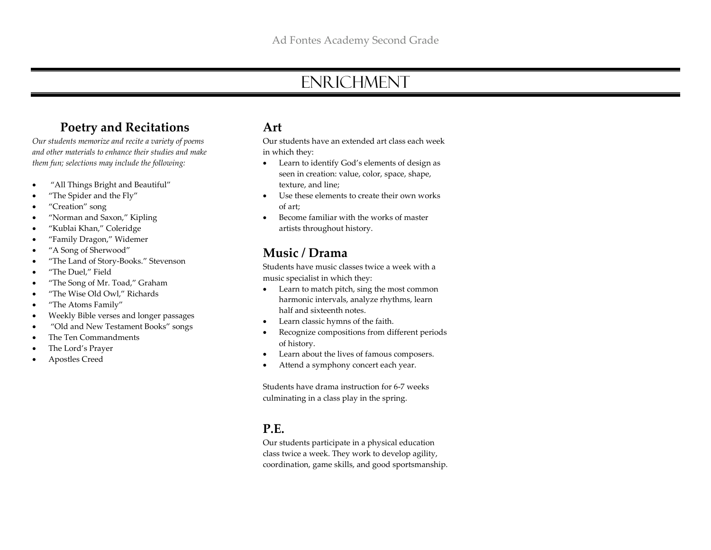## **ENRICHMENT**

## **Poetry and Recitations**

*Our students memorize and recite a variety of poems and other materials to enhance their studies and make them fun; selections may include the following:*

- "All Things Bright and Beautiful"
- "The Spider and the Fly"
- "Creation" song
- "Norman and Saxon," Kipling
- "Kublai Khan," Coleridge
- "Family Dragon," Widemer
- "A Song of Sherwood"
- "The Land of Story-Books." Stevenson
- "The Duel," Field
- "The Song of Mr. Toad," Graham
- "The Wise Old Owl," Richards
- "The Atoms Family"
- Weekly Bible verses and longer passages
- "Old and New Testament Books" songs
- The Ten Commandments
- The Lord's Prayer
- Apostles Creed

#### **Art**

Our students have an extended art class each week in which they:

- Learn to identify God's elements of design as seen in creation: value, color, space, shape, texture, and line;
- Use these elements to create their own works of art;
- Become familiar with the works of master artists throughout history.

### **Music / Drama**

Students have music classes twice a week with a music specialist in which they:

- Learn to match pitch, sing the most common harmonic intervals, analyze rhythms, learn half and sixteenth notes.
- Learn classic hymns of the faith.
- Recognize compositions from different periods of history.
- Learn about the lives of famous composers.
- Attend a symphony concert each year.

Students have drama instruction for 6-7 weeks culminating in a class play in the spring.

### **P.E.**

Our students participate in a physical education class twice a week. They work to develop agility, coordination, game skills, and good sportsmanship.